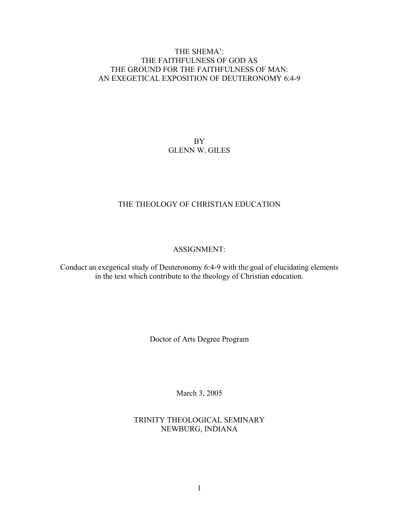# THE SHEMA': THE FAITHFULNESS OF GOD AS THE GROUND FOR THE FAITHFULNESS OF MAN: AN EXEGETICAL EXPOSITION OF DEUTERONOMY 6:4-9

BY GLENN W. GILES

# THE THEOLOGY OF CHRISTIAN EDUCATION

## ASSIGNMENT:

Conduct an exegetical study of Deuteronomy 6:4-9 with the goal of elucidating elements in the text which contribute to the theology of Christian education.

Doctor of Arts Degree Program

March 3, 2005

TRINITY THEOLOGICAL SEMINARY NEWBURG, INDIANA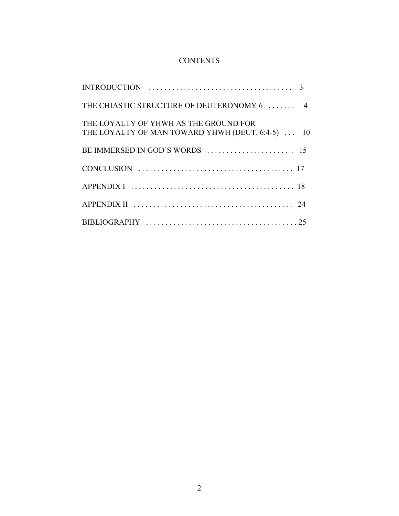# **CONTENTS**

| $\mathcal{R}$                                                                             |
|-------------------------------------------------------------------------------------------|
| THE CHIASTIC STRUCTURE OF DEUTERONOMY 6  4                                                |
| THE LOYALTY OF YHWH AS THE GROUND FOR<br>THE LOYALTY OF MAN TOWARD YHWH (DEUT. 6:4-5)  10 |
|                                                                                           |
|                                                                                           |
|                                                                                           |
| 24                                                                                        |
|                                                                                           |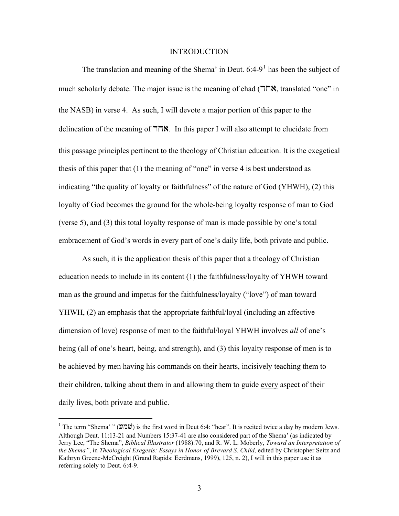#### INTRODUCTION

The translation and meaning of the Shema' in Deut.  $6:4-9<sup>1</sup>$  $6:4-9<sup>1</sup>$  $6:4-9<sup>1</sup>$  has been the subject of much scholarly debate. The major issue is the meaning of ehad  $(T\Box X)$ , translated "one" in the NASB) in verse 4. As such, I will devote a major portion of this paper to the delineation of the meaning of  $\nabla \mathbf{R}$ . In this paper I will also attempt to elucidate from this passage principles pertinent to the theology of Christian education. It is the exegetical thesis of this paper that (1) the meaning of "one" in verse 4 is best understood as indicating "the quality of loyalty or faithfulness" of the nature of God (YHWH), (2) this loyalty of God becomes the ground for the whole-being loyalty response of man to God (verse 5), and (3) this total loyalty response of man is made possible by one's total embracement of God's words in every part of one's daily life, both private and public.

As such, it is the application thesis of this paper that a theology of Christian education needs to include in its content (1) the faithfulness/loyalty of YHWH toward man as the ground and impetus for the faithfulness/loyalty ("love") of man toward YHWH, (2) an emphasis that the appropriate faithful/loyal (including an affective dimension of love) response of men to the faithful/loyal YHWH involves *all* of one's being (all of one's heart, being, and strength), and (3) this loyalty response of men is to be achieved by men having his commands on their hearts, incisively teaching them to their children, talking about them in and allowing them to guide every aspect of their daily lives, both private and public.

<span id="page-2-0"></span> $1$  The term "Shema' " (שמע) is the first word in Deut 6:4: "hear". It is recited twice a day by modern Jews. Although Deut. 11:13-21 and Numbers 15:37-41 are also considered part of the Shema' (as indicated by Jerry Lee, "The Shema", *Biblical Illustrator* (1988):70, and R. W. L. Moberly, *Toward an Interpretation of the Shema"*, in *Theological Exegesis: Essays in Honor of Brevard S. Child,* edited by Christopher Seitz and Kathryn Greene-McCreight (Grand Rapids: Eerdmans, 1999), 125, n. 2), I will in this paper use it as referring solely to Deut. 6:4-9.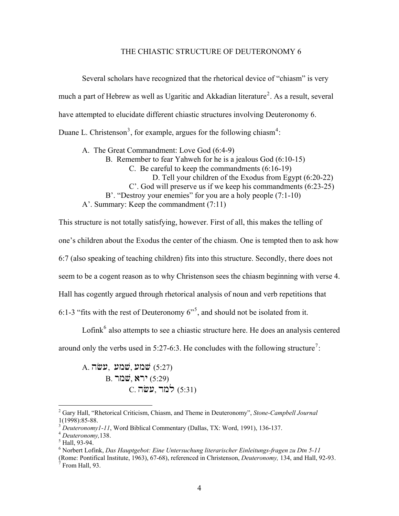#### THE CHIASTIC STRUCTURE OF DEUTERONOMY 6

Several scholars have recognized that the rhetorical device of "chiasm" is very much a part of Hebrew as well as Ugaritic and Akkadian literature<sup>[2](#page-3-0)</sup>. As a result, several have attempted to elucidate different chiastic structures involving Deuteronomy 6. Duane L. Christenson<sup>[3](#page-3-1)</sup>, for example, argues for the following chiasm<sup>[4](#page-3-2)</sup>:

A. The Great Commandment: Love God (6:4-9)

B. Remember to fear Yahweh for he is a jealous God (6:10-15)

- C. Be careful to keep the commandments (6:16-19)
	- D. Tell your children of the Exodus from Egypt (6:20-22)
- C'. God will preserve us if we keep his commandments (6:23-25)
- B'. "Destroy your enemies" for you are a holy people (7:1-10)

A'. Summary: Keep the commandment (7:11)

This structure is not totally satisfying, however. First of all, this makes the telling of one's children about the Exodus the center of the chiasm. One is tempted then to ask how 6:7 (also speaking of teaching children) fits into this structure. Secondly, there does not seem to be a cogent reason as to why Christenson sees the chiasm beginning with verse 4. Hall has cogently argued through rhetorical analysis of noun and verb repetitions that 6:1-3 "fits with the rest of Deuteronomy  $6^{5}$  $6^{5}$  $6^{5}$ , and should not be isolated from it.

Lofink $<sup>6</sup>$  $<sup>6</sup>$  $<sup>6</sup>$  also attempts to see a chiastic structure here. He does an analysis centered</sup> around only the verbs used in 5:2[7](#page-3-5)-6:3. He concludes with the following structure<sup>7</sup>:

A. שמע, שמע**, שמע)** (5:27) B. שמר $\ddot{w}$ , ירא $(5:29)$  $C.$  למד, עשה $(5:31)$ 

<span id="page-3-0"></span><sup>2</sup> Gary Hall, "Rhetorical Criticism, Chiasm, and Theme in Deuteronomy", *Stone-Campbell Journal* 1(1998):85-88.

<span id="page-3-1"></span><sup>&</sup>lt;sup>3</sup> *Deuteronomy1-11*, Word Biblical Commentary (Dallas, TX: Word, 1991), 136-137. <sup>4</sup> *Deuteronomy*, 138.

<span id="page-3-3"></span><span id="page-3-2"></span><sup>&</sup>lt;sup>5</sup> Hall, 93-94.

<sup>6</sup> Norbert Lofink, *Das Hauptgebot: Eine Untersuchung literarischer Einleitungs-fragen zu Dtn 5-11*

<span id="page-3-5"></span><span id="page-3-4"></span><sup>(</sup>Rome: Pontifical Institute, 1963), 67-68), referenced in Christenson, *Deuteronomy,* 134, and Hall, 92-93. 7  $\sigma$  From Hall, 93.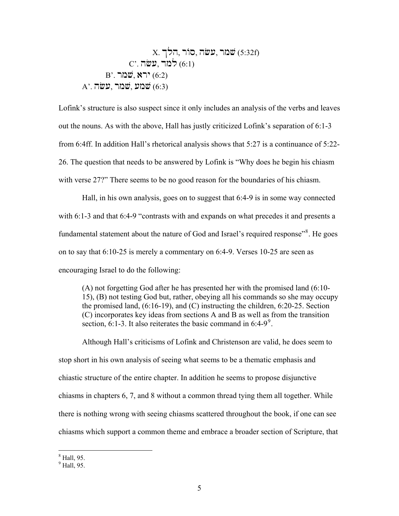X. 9lh, r/s, hc[, rmv (5:32f) C'. hc[, dml (6:1) B'. rmv, ary (6:2) A'. hc[, rmv, [mv (6:3)

Lofink's structure is also suspect since it only includes an analysis of the verbs and leaves out the nouns. As with the above, Hall has justly criticized Lofink's separation of 6:1-3 from 6:4ff. In addition Hall's rhetorical analysis shows that 5:27 is a continuance of 5:22- 26. The question that needs to be answered by Lofink is "Why does he begin his chiasm with verse 27?" There seems to be no good reason for the boundaries of his chiasm.

Hall, in his own analysis, goes on to suggest that 6:4-9 is in some way connected with 6:1-3 and that 6:4-9 "contrasts with and expands on what precedes it and presents a fundamental statement about the nature of God and Israel's required response"<sup>[8](#page-4-0)</sup>. He goes on to say that 6:10-25 is merely a commentary on 6:4-9. Verses 10-25 are seen as encouraging Israel to do the following:

 (A) not forgetting God after he has presented her with the promised land (6:10- 15), (B) not testing God but, rather, obeying all his commands so she may occupy the promised land, (6:16-19), and (C) instructing the children, 6:20-25. Section (C) incorporates key ideas from sections A and B as well as from the transition section, 6:1-3. It also reiterates the basic command in  $6:4-9^\circ$  $6:4-9^\circ$  $6:4-9^\circ$ .

 Although Hall's criticisms of Lofink and Christenson are valid, he does seem to stop short in his own analysis of seeing what seems to be a thematic emphasis and chiastic structure of the entire chapter. In addition he seems to propose disjunctive chiasms in chapters 6, 7, and 8 without a common thread tying them all together. While there is nothing wrong with seeing chiasms scattered throughout the book, if one can see chiasms which support a common theme and embrace a broader section of Scripture, that

<span id="page-4-0"></span><sup>8</sup> Hall, 95.

<span id="page-4-1"></span> $<sup>9</sup>$  Hall, 95.</sup>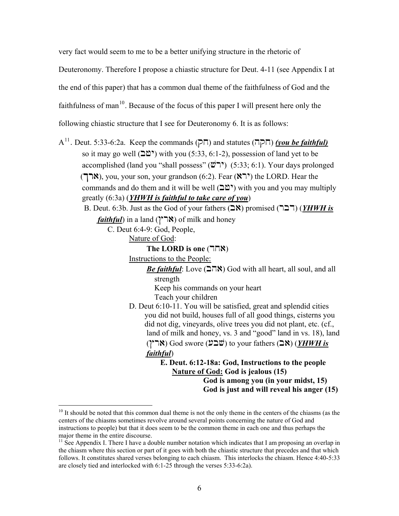very fact would seem to me to be a better unifying structure in the rhetoric of Deuteronomy. Therefore I propose a chiastic structure for Deut. 4-11 (see Appendix I at the end of this paper) that has a common dual theme of the faithfulness of God and the faithfulness of man<sup>[10](#page-5-0)</sup>. Because of the focus of this paper I will present here only the following chiastic structure that I see for Deuteronomy 6. It is as follows:

A<sup>[11](#page-5-1)</sup>. Deut. 5:33-6:2a. Keep the commands (תקה) and statutes (חקה) *(you be faithful)* so it may go well ( $\mathbb{Q}^{\mathbb{N}}$ ) with you (5:33, 6:1-2), possession of land yet to be accomplished (land you "shall possess"  $(\overrightarrow{w})$ " (5:33; 6:1). Your days prolonged (ארך), you, your son, your grandson  $(6:2)$ . Fear  $(\aleph \supseteq)$  the LORD. Hear the commands and do them and it will be well ( $\mathbb{C}$  $\mathbb{C}$ ) with you and you may multiply greatly (6:3a) (*YHWH is faithful to take care of you*) B. Deut. 6:3b. Just as the God of your fathers (**AX**) promised (**PLIT**) (*YHWH is faithful*) in a land ( $\mathcal{N}$  **(** $\mathcal{N}$ ) of milk and honey C. Deut 6:4-9: God, People, Nature of God: **The LORD is one (HNN)**  Instructions to the People: *Be faithful*: Love  $(278)$  God with all heart, all soul, and all strength Keep his commands on your heart Teach your children D. Deut 6:10-11. You will be satisfied, great and splendid cities you did not build, houses full of all good things, cisterns you did not dig, vineyards, olive trees you did not plant, etc. (cf., land of milk and honey, vs. 3 and "good" land in vs. 18), land (ארץ) God swore (שבע) to your fathers (**A)** (*YHWH is*  $(YHWH \times Y)$  *faithful*) **E. Deut. 6:12-18a: God, Instructions to the people Nature of God: God is jealous (15) God is among you (in your midst, 15) God is just and will reveal his anger (15)** 

<span id="page-5-0"></span><sup>&</sup>lt;sup>10</sup> It should be noted that this common dual theme is not the only theme in the centers of the chiasms (as the centers of the chiasms sometimes revolve around several points concerning the nature of God and instructions to people) but that it does seem to be the common theme in each one and thus perhaps the major theme in the entire discourse.

<span id="page-5-1"></span><sup>&</sup>lt;sup>11</sup> See Appendix I. There I have a double number notation which indicates that I am proposing an overlap in the chiasm where this section or part of it goes with both the chiastic structure that precedes and that which follows. It constitutes shared verses belonging to each chiasm. This interlocks the chiasm. Hence 4:40-5:33 are closely tied and interlocked with 6:1-25 through the verses 5:33-6:2a).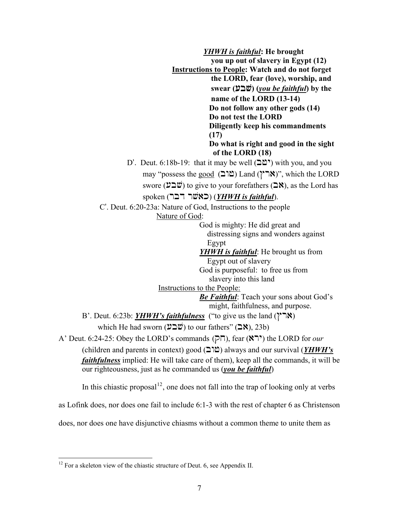*YHWH is faithful***: He brought you up out of slavery in Egypt (12) Instructions to People: Watch and do not forget the LORD, fear (love), worship, and swear (** $\mathbf{\mathcal{V}}\mathbf{\mathcal{D}}$ **)** (*you be faithful*) by the  **name of the LORD (13-14) Do not follow any other gods (14) Do not test the LORD Diligently keep his commandments (17) Do what is right and good in the sight of the LORD (18)**  D'. Deut. 6:18b-19: that it may be well  $(20)$  with you, and you may "possess the good  $(D\mathbb{C})$  Land  $(\gamma \mathbb{C})$ ", which the LORD swore ( $\mathcal{V} \supseteq \mathcal{W}$ ) to give to your forefathers ( $\supseteq \mathcal{R}$ ), as the Lord has spoken (ראשׁר דבר) (*YHWH is faithful*). C'. Deut. 6:20-23a: Nature of God, Instructions to the people Nature of God: God is mighty: He did great and distressing signs and wonders against Egypt *YHWH is faithful*: He brought us from Egypt out of slavery God is purposeful: to free us from slavery into this land Instructions to the People: *Be Faithful*: Teach your sons about God's might, faithfulness, and purpose. B'. Deut. 6:23b: *YHWH's faithfulness* ("to give us the land ( $\gamma$ <sup>-</sup>N)) which He had sworn  $(\mathcal{V} \supseteq \mathcal{W})$  to our fathers" ( $\supseteq \mathcal{N}$ ), 23b) A' Deut. 6:24-25: Obey the LORD's commands  $(\overline{P}\overline{\phantom{P}})$ , fear  $(\overline{\phantom{R}})\overline{\phantom{R}}$ ) the LORD for *our* (children and parents in context) good  $(2)$ <sup>o</sup>) always and our survival (*YHWH's faithfulness* implied: He will take care of them), keep all the commands, it will be our righteousness, just as he commanded us (*you be faithful*)

In this chiastic proposal<sup>[12](#page-6-0)</sup>, one does not fall into the trap of looking only at verbs

as Lofink does, nor does one fail to include 6:1-3 with the rest of chapter 6 as Christenson

does, nor does one have disjunctive chiasms without a common theme to unite them as

<span id="page-6-0"></span> $12$  For a skeleton view of the chiastic structure of Deut. 6, see Appendix II.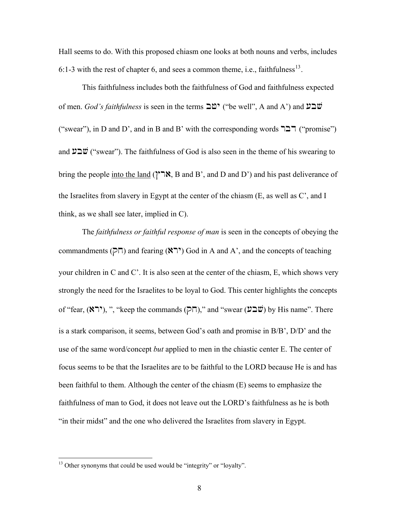Hall seems to do. With this proposed chiasm one looks at both nouns and verbs, includes 6:1-3 with the rest of chapter 6, and sees a common theme, i.e., faithfulness<sup>[13](#page-7-0)</sup>.

This faithfulness includes both the faithfulness of God and faithfulness expected of men. *God's faithfulness* is seen in the terms  $\Delta \mathfrak{D}^{\bullet}$  ("be well", A and A') and  $\mathfrak{D}^{\bullet}$ ("swear"), in D and D', and in B and B' with the corresponding words  $\Box \Box \top$  ("promise") and  $\mathcal{V} \supseteq \mathcal{V}'$  ("swear"). The faithfulness of God is also seen in the theme of his swearing to bring the people into the land ( $\gamma$ <sup>\*</sup>, B and B', and D and D') and his past deliverance of the Israelites from slavery in Egypt at the center of the chiasm (E, as well as C', and I think, as we shall see later, implied in C).

 The *faithfulness or faithful response of man* is seen in the concepts of obeying the commandments ( $\overline{P}$ ) and fearing ( $\overline{N}$ ) God in A and A', and the concepts of teaching your children in C and C'. It is also seen at the center of the chiasm, E, which shows very strongly the need for the Israelites to be loyal to God. This center highlights the concepts of "fear,  $(\mathbf{N}^*)$ , ", "keep the commands  $(\overline{P}\overline{\Pi})$ ," and "swear  $(\mathbf{V}\mathbf{\Sigma}\mathbf{W})$  by His name". There is a stark comparison, it seems, between God's oath and promise in B/B', D/D' and the use of the same word/concept *but* applied to men in the chiastic center E. The center of focus seems to be that the Israelites are to be faithful to the LORD because He is and has been faithful to them. Although the center of the chiasm (E) seems to emphasize the faithfulness of man to God, it does not leave out the LORD's faithfulness as he is both "in their midst" and the one who delivered the Israelites from slavery in Egypt.

<span id="page-7-0"></span><sup>&</sup>lt;sup>13</sup> Other synonyms that could be used would be "integrity" or "loyalty".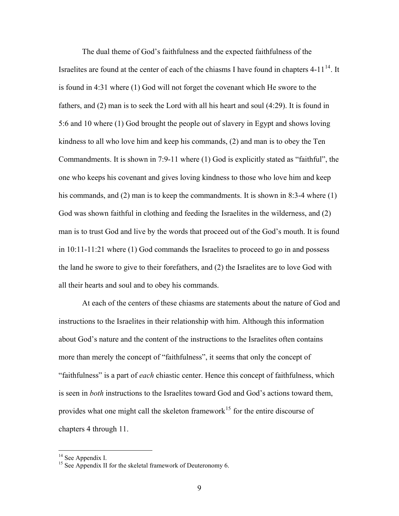The dual theme of God's faithfulness and the expected faithfulness of the Israelites are found at the center of each of the chiasms I have found in chapters  $4-11^{14}$  $4-11^{14}$  $4-11^{14}$ . It is found in 4:31 where (1) God will not forget the covenant which He swore to the fathers, and (2) man is to seek the Lord with all his heart and soul (4:29). It is found in 5:6 and 10 where (1) God brought the people out of slavery in Egypt and shows loving kindness to all who love him and keep his commands, (2) and man is to obey the Ten Commandments. It is shown in 7:9-11 where (1) God is explicitly stated as "faithful", the one who keeps his covenant and gives loving kindness to those who love him and keep his commands, and (2) man is to keep the commandments. It is shown in 8:3-4 where (1) God was shown faithful in clothing and feeding the Israelites in the wilderness, and (2) man is to trust God and live by the words that proceed out of the God's mouth. It is found in 10:11-11:21 where (1) God commands the Israelites to proceed to go in and possess the land he swore to give to their forefathers, and (2) the Israelites are to love God with all their hearts and soul and to obey his commands.

At each of the centers of these chiasms are statements about the nature of God and instructions to the Israelites in their relationship with him. Although this information about God's nature and the content of the instructions to the Israelites often contains more than merely the concept of "faithfulness", it seems that only the concept of "faithfulness" is a part of *each* chiastic center. Hence this concept of faithfulness, which is seen in *both* instructions to the Israelites toward God and God's actions toward them, provides what one might call the skeleton framework<sup>[15](#page-8-1)</sup> for the entire discourse of chapters 4 through 11.

<sup>&</sup>lt;sup>14</sup> See Appendix I.

<span id="page-8-1"></span><span id="page-8-0"></span><sup>&</sup>lt;sup>15</sup> See Appendix II for the skeletal framework of Deuteronomy 6.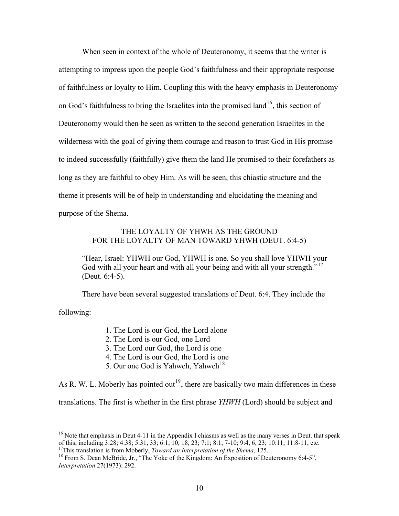When seen in context of the whole of Deuteronomy, it seems that the writer is attempting to impress upon the people God's faithfulness and their appropriate response of faithfulness or loyalty to Him. Coupling this with the heavy emphasis in Deuteronomy on God's faithfulness to bring the Israelites into the promised land<sup>[16](#page-9-0)</sup>, this section of Deuteronomy would then be seen as written to the second generation Israelites in the wilderness with the goal of giving them courage and reason to trust God in His promise to indeed successfully (faithfully) give them the land He promised to their forefathers as long as they are faithful to obey Him. As will be seen, this chiastic structure and the theme it presents will be of help in understanding and elucidating the meaning and purpose of the Shema.

### THE LOYALTY OF YHWH AS THE GROUND FOR THE LOYALTY OF MAN TOWARD YHWH (DEUT. 6:4-5)

"Hear, Israel: YHWH our God, YHWH is one. So you shall love YHWH your God with all your heart and with all your being and with all your strength."<sup>[17](#page-9-1)</sup> (Deut. 6:4-5).

There have been several suggested translations of Deut. 6:4. They include the

<span id="page-9-3"></span>following:

 $\overline{a}$ 

- 1. The Lord is our God, the Lord alone
- 2. The Lord is our God, one Lord
- 3. The Lord our God, the Lord is one
- 4. The Lord is our God, the Lord is one
- 5. Our one God is Yahweh, Yahweh<sup>[18](#page-9-2)</sup>

As R. W. L. Moberly has pointed out<sup>[19](#page-9-3)</sup>, there are basically two main differences in these

translations. The first is whether in the first phrase *YHWH* (Lord) should be subject and

<span id="page-9-0"></span> $16$  Note that emphasis in Deut 4-11 in the Appendix I chiasms as well as the many verses in Deut. that speak of this, including 3:28; 4:38; 5:31, 33; 6:1, 10, 18, 23; 7:1; 8:1, 7-10; 9:4, 6, 23; 10:11; 11:8-11, etc.<br><sup>17</sup>This translation is from Moberly, *Toward an Interpretation of the Shema*, 125.

<span id="page-9-2"></span><span id="page-9-1"></span><sup>&</sup>lt;sup>18</sup> From S. Dean McBride, Jr., "The Yoke of the Kingdom: An Exposition of Deuteronomy 6:4-5", *Interpretation* 27(1973): 292.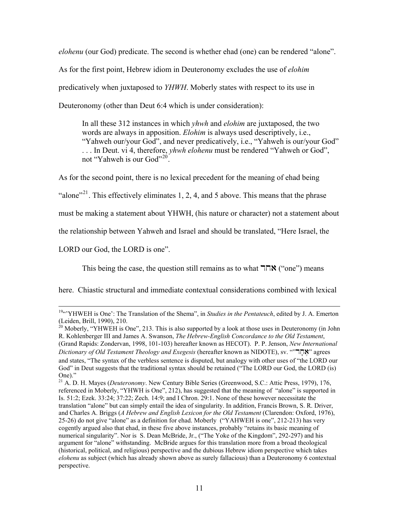*elohenu* (our God) predicate. The second is whether ehad (one) can be rendered "alone". As for the first point, Hebrew idiom in Deuteronomy excludes the use of *elohim* predicatively when juxtaposed to *YHWH*. Moberly states with respect to its use in Deuteronomy (other than Deut 6:4 which is under consideration):

In all these 312 instances in which *yhwh* and *elohim* are juxtaposed, the two words are always in apposition. *Elohim* is always used descriptively, i.e., "Yahweh our/your God", and never predicatively, i.e., "Yahweh is our/your God" . . . In Deut. vi 4, therefore, *yhwh elohenu* must be rendered "Yahweh or God", not "Yahweh is our God"<sup>[20](#page-10-0)"</sup>.

As for the second point, there is no lexical precedent for the meaning of ehad being

"alone"<sup>[21](#page-10-1)</sup>. This effectively eliminates 1, 2, 4, and 5 above. This means that the phrase

must be making a statement about YHWH, (his nature or character) not a statement about

the relationship between Yahweh and Israel and should be translated, "Here Israel, the

LORD our God, the LORD is one".

This being the case, the question still remains as to what  $\nabla \mathbf{R}$  ("one") means

here. Chiastic structural and immediate contextual considerations combined with lexical

<sup>&</sup>lt;sup>19"</sup>"YHWEH is One': The Translation of the Shema", in *Studies in the Pentateuch*, edited by J. A. Emerton (Leiden, Brill, 1990), 210.

<span id="page-10-0"></span><sup>&</sup>lt;sup>20</sup> Moberly, "YHWEH is One", 213. This is also supported by a look at those uses in Deuteronomy (in John R. Kohlenberger III and James A. Swanson, *The Hebrew-English Concordance to the Old Testament*, (Grand Rapids: Zondervan, 1998, 101-103) hereafter known as HECOT). P. P. Jenson, *New International Dictionary of Old Testament Theology and Exegesis* (hereafter known as NIDOTE), sv. ""dj;a," agrees and states, "The syntax of the verbless sentence is disputed, but analogy with other uses of "the LORD our God" in Deut suggests that the traditional syntax should be retained ("The LORD our God, the LORD (is) One)."

<span id="page-10-1"></span><sup>21</sup> A. D. H. Mayes (*Deuteronomy*. New Century Bible Series (Greenwood, S.C.: Attic Press, 1979), 176, referenced in Moberly, "YHWH is One", 212), has suggested that the meaning of "alone" is supported in Is. 51:2; Ezek. 33:24; 37:22; Zech. 14:9; and I Chron. 29:1. None of these however necessitate the translation "alone" but can simply entail the idea of singularity. In addition, Francis Brown, S. R. Driver, and Charles A. Briggs (*A Hebrew and English Lexicon for the Old Testament* (Clarendon: Oxford, 1976), 25-26) do not give "alone" as a definition for ehad. Moberly ("YAHWEH is one", 212-213) has very cogently argued also that ehad, in these five above instances, probably "retains its basic meaning of numerical singularity". Nor is S. Dean McBride, Jr., ("The Yoke of the Kingdom", 292-297) and his argument for "alone" withstanding. McBride argues for this translation more from a broad theological (historical, political, and religious) perspective and the dubious Hebrew idiom perspective which takes *elohenu* as subject (which has already shown above as surely fallacious) than a Deuteronomy 6 contextual perspective.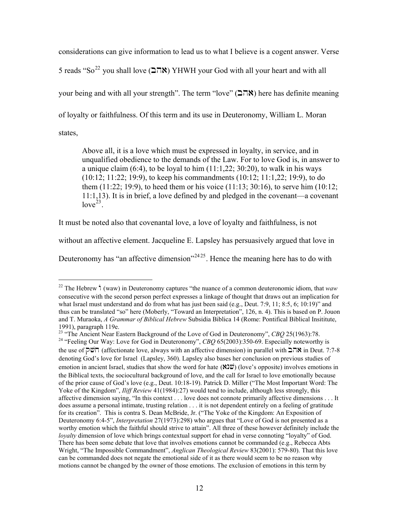considerations can give information to lead us to what I believe is a cogent answer. Verse 5 reads "So<sup>[22](#page-11-0)</sup> you shall love (אהב) YHWH your God with all your heart and with all your being and with all your strength". The term "love" ( $\Box \Box \land$ ) here has definite meaning of loyalty or faithfulness. Of this term and its use in Deuteronomy, William L. Moran states,

Above all, it is a love which must be expressed in loyalty, in service, and in unqualified obedience to the demands of the Law. For to love God is, in answer to a unique claim  $(6:4)$ , to be loyal to him  $(11:1,22; 30:20)$ , to walk in his ways (10:12; 11:22; 19:9), to keep his commandments (10:12; 11:1,22; 19:9), to do them (11:22; 19:9), to heed them or his voice (11:13; 30:16), to serve him (10:12; 11:1,13). It is in brief, a love defined by and pledged in the covenant—a covenant  $love^{23}$  $love^{23}$  $love^{23}$ .

It must be noted also that covenantal love, a love of loyalty and faithfulness, is not

 $\overline{a}$ 

without an affective element. Jacqueline E. Lapsley has persuasively argued that love in

Deuteronomy has "an affective dimension"<sup>[24](#page-11-2)[25](#page-11-3)</sup>. Hence the meaning here has to do with

<span id="page-11-0"></span><sup>&</sup>lt;sup>22</sup> The Hebrew  $\dot{d}$  (waw) in Deuteronomy captures "the nuance of a common deuteronomic idiom, that *waw* consecutive with the second person perfect expresses a linkage of thought that draws out an implication for what Israel must understand and do from what has just been said (e.g., Deut. 7:9, 11; 8:5, 6; 10:19)" and thus can be translated "so" here (Moberly, "Toward an Interpretation", 126, n. 4). This is based on P. Jouon and T. Muraoka, *A Grammar of Biblical Hebrew* Subsidia Biblica 14 (Rome: Pontifical Biblical Insititute,

<span id="page-11-3"></span><span id="page-11-2"></span><span id="page-11-1"></span><sup>1991),</sup> paragraph 119e.<br><sup>23</sup> "The Ancient Near Eastern Background of the Love of God in Deuteronomy", *CBQ* 25(1963):78. <sup>24</sup> "Feeling Our Way: Love for God in Deuteronomy", *CBQ* 65(2003):350-69. Especially noteworthy is the use of  $\overline{q}$  (affectionate love, always with an affective dimension) in parallel with  $\overline{q}$  in Deut. 7:7-8 denoting God's love for Israel (Lapsley, 360). Lapsley also bases her conclusion on previous studies of emotion in ancient Israel, studies that show the word for hate  $(\& \& \& \& \vee$ ) (love's opposite) involves emotions in the Biblical texts, the sociocultural background of love, and the call for Israel to love emotionally because of the prior cause of God's love (e.g., Deut. 10:18-19). Patrick D. Miller ("The Most Important Word: The Yoke of the Kingdom", *Iliff Review* 41(1984):27) would tend to include, although less strongly, this affective dimension saying, "In this context . . . love does not connote primarily affective dimensions . . . It does assume a personal intimate, trusting relation . . . it is not dependent entirely on a feeling of gratitude for its creation". This is contra S. Dean McBride, Jr. ("The Yoke of the Kingdom: An Exposition of Deuteronomy 6:4-5", *Interpretation* 27(1973):298) who argues that "Love of God is not presented as a worthy emotion which the faithful should strive to attain". All three of these however definitely include the *loyalty* dimension of love which brings contextual support for ehad in verse connoting "loyalty" of God. There has been some debate that love that involves emotions cannot be commanded (e.g., Rebecca Abts Wright, "The Impossible Commandment", *Anglican Theological Review* 83(2001): 579-80). That this love can be commanded does not negate the emotional side of it as there would seem to be no reason why motions cannot be changed by the owner of those emotions. The exclusion of emotions in this term by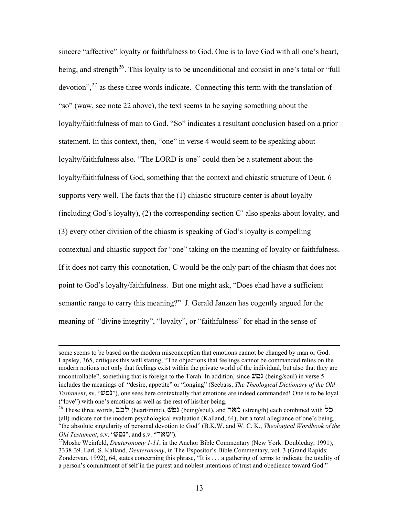sincere "affective" loyalty or faithfulness to God. One is to love God with all one's heart, being, and strength<sup>[26](#page-12-0)</sup>. This loyalty is to be unconditional and consist in one's total or "full" devotion",  $27$  as these three words indicate. Connecting this term with the translation of "so" (waw, see note 22 above), the text seems to be saying something about the loyalty/faithfulness of man to God. "So" indicates a resultant conclusion based on a prior statement. In this context, then, "one" in verse 4 would seem to be speaking about loyalty/faithfulness also. "The LORD is one" could then be a statement about the loyalty/faithfulness of God, something that the context and chiastic structure of Deut. 6 supports very well. The facts that the (1) chiastic structure center is about loyalty (including God's loyalty), (2) the corresponding section C' also speaks about loyalty, and (3) every other division of the chiasm is speaking of God's loyalty is compelling contextual and chiastic support for "one" taking on the meaning of loyalty or faithfulness. If it does not carry this connotation, C would be the only part of the chiasm that does not point to God's loyalty/faithfulness. But one might ask, "Does ehad have a sufficient semantic range to carry this meaning?" J. Gerald Janzen has cogently argued for the meaning of "divine integrity", "loyalty", or "faithfulness" for ehad in the sense of

some seems to be based on the modern misconception that emotions cannot be changed by man or God. Lapsley, 365, critiques this well stating, "The objections that feelings cannot be commanded relies on the modern notions not only that feelings exist within the private world of the individual, but also that they are uncontrollable", something that is foreign to the Torah. In addition, since  $\ddot{\varphi}$  (being/soul) in verse 5 includes the meanings of "desire, appetite" or "longing" (Seebass, *The Theological Dictionary of the Old Testament*, sv. " **Zellah'**), one sees here contextually that emotions are indeed commanded! One is to be loyal ("love") with one's emotions as well as the rest of his/her being.

<span id="page-12-0"></span> $26$  These three words,  $\sum \frac{1}{26}$  (heart/mind),  $\frac{1}{26}$  (being/soul), and  $\sum$  (strength) each combined with  $\sum$ (all) indicate not the modern psychological evaluation (Kalland, 64), but a total allegiance of one's being, "the absolute singularity of personal devotion to God" (B.K.W. and W. C. K., *Theological Wordbook of the Old Testament*, s.v. "**בֹ**לֹאָר", and s.v. "**מאָר"**).<br><sup>27</sup>Moshe Weinfeld, *Deuteronomy 1-11*, in the Anchor Bible Commentary (New York: Doubleday, 1991),

<span id="page-12-1"></span><sup>3338-39.</sup> Earl. S. Kalland, *Deuteronomy*, in The Expositor's Bible Commentary, vol. 3 (Grand Rapids: Zondervan, 1992), 64, states concerning this phrase, "It is . . . a gathering of terms to indicate the totality of a person's commitment of self in the purest and noblest intentions of trust and obedience toward God."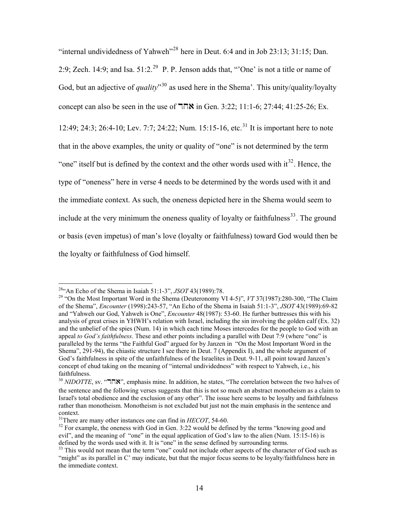"internal undividedness of Yahweh"<sup>[28](#page-13-0)</sup> here in Deut. 6:4 and in Job 23:13; 31:15; Dan. 2:9; Zech. 14:9; and Isa.  $51:2.^{29}$  $51:2.^{29}$  $51:2.^{29}$  P. P. Jenson adds that, "One' is not a title or name of God, but an adjective of *quality*<sup>[30](#page-13-2)</sup> as used here in the Shema'. This unity/quality/loyalty concept can also be seen in the use of  $\exists \exists \forall x$  in Gen. 3:22; 11:1-6; 27:44; 41:25-26; Ex.

12:49; 24:3; 26:4-10; Lev. 7:7; 24:22; Num. 15:15-16, etc.<sup>[31](#page-13-3)</sup> It is important here to note that in the above examples, the unity or quality of "one" is not determined by the term "one" itself but is defined by the context and the other words used with  $it^{32}$  $it^{32}$  $it^{32}$ . Hence, the type of "oneness" here in verse 4 needs to be determined by the words used with it and the immediate context. As such, the oneness depicted here in the Shema would seem to include at the very minimum the oneness quality of loyalty or faithfulness<sup>[33](#page-13-5)</sup>. The ground or basis (even impetus) of man's love (loyalty or faithfulness) toward God would then be the loyalty or faithfulness of God himself.

<span id="page-13-0"></span> $284$  An Echo of the Shema in Isaiah 51:1-3", JSOT 43(1989):78.

<span id="page-13-1"></span><sup>&</sup>lt;sup>29</sup> "On the Most Important Word in the Shema (Deuteronomy VI 4-5)", *VT* 37(1987):280-300, "The Claim of the Shema", *Encounter* (1998):243-57, "An Echo of the Shema in Isaiah 51:1-3", *JSOT* 43(1989):69-82 and "Yahweh our God, Yahweh is One", *Encounter* 48(1987): 53-60. He further buttresses this with his analysis of great crises in YHWH's relation with Israel, including the sin involving the golden calf (Ex. 32) and the unbelief of the spies (Num. 14) in which each time Moses intercedes for the people to God with an appeal *to God's faithfulness*. These and other points including a parallel with Deut 7:9 (where "one" is paralleled by the terms "the Faithful God" argued for by Janzen in "On the Most Important Word in the Shema", 291-94), the chiastic structure I see there in Deut. 7 (Appendix I), and the whole argument of God's faithfulness in spite of the unfaithfulness of the Israelites in Deut. 9-11, all point toward Janzen's concept of ehud taking on the meaning of "internal undividedness" with respect to Yahweh, i.e., his faithfulness.

<span id="page-13-2"></span><sup>30</sup> *NIDOTTE*, sv. " $\Pi$ <sup>30</sup>, emphasis mine. In addition, he states, "The correlation between the two halves of the sentence and the following verses suggests that this is not so much an abstract monotheism as a claim to Israel's total obedience and the exclusion of any other". The issue here seems to be loyalty and faithfulness rather than monotheism. Monotheism is not excluded but just not the main emphasis in the sentence and context.<br><sup>31</sup>There are many other instances one can find in *HECOT*, 54-60.

<span id="page-13-4"></span><span id="page-13-3"></span><sup>&</sup>lt;sup>32</sup> For example, the oneness with God in Gen. 3:22 would be defined by the terms "knowing good and evil", and the meaning of "one" in the equal application of God's law to the alien (Num. 15:15-16) is defined by the words used with it. It is "one" in the sense defined by surrounding terms.

<span id="page-13-5"></span><sup>&</sup>lt;sup>33</sup> This would not mean that the term "one" could not include other aspects of the character of God such as "might" as its parallel in C' may indicate, but that the major focus seems to be loyalty/faithfulness here in the immediate context.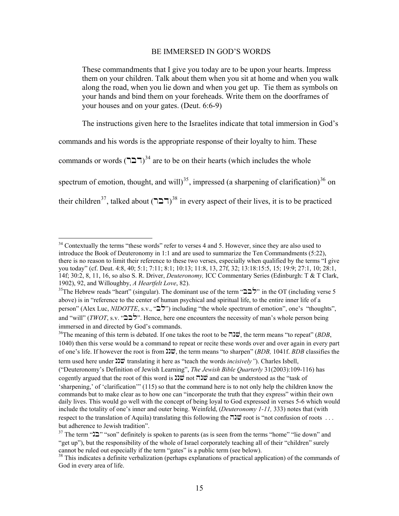#### BE IMMERSED IN GOD'S WORDS

These commandments that I give you today are to be upon your hearts. Impress them on your children. Talk about them when you sit at home and when you walk along the road, when you lie down and when you get up. Tie them as symbols on your hands and bind them on your foreheads. Write them on the doorframes of your houses and on your gates. (Deut. 6:6-9)

The instructions given here to the Israelites indicate that total immersion in God's

commands and his words is the appropriate response of their loyalty to him. These

commands or words  $(T\Box T)^{34}$  $(T\Box T)^{34}$  $(T\Box T)^{34}$  are to be on their hearts (which includes the whole

spectrum of emotion, thought, and will)<sup>[35](#page-14-1)</sup>, impressed (a sharpening of clarification)<sup>[36](#page-14-2)</sup> on

their children<sup>[37](#page-14-3)</sup>, talked about  $(T\Box T)^{38}$  $(T\Box T)^{38}$  $(T\Box T)^{38}$  in every aspect of their lives, it is to be practiced

<span id="page-14-0"></span> $\overline{a}$  $34$  Contextually the terms "these words" refer to verses 4 and 5. However, since they are also used to introduce the Book of Deuteronomy in 1:1 and are used to summarize the Ten Commandments (5:22), there is no reason to limit their reference to these two verses, especially when qualified by the terms "I give you today" (cf. Deut. 4:8, 40; 5:1; 7:11; 8:1; 10:13; 11:8, 13, 27f, 32; 13:18:15:5, 15; 19:9; 27:1, 10; 28:1, 14f; 30:2, 8, 11, 16, so also S. R. Driver, *Deuteronomy,* ICC Commentary Series (Edinburgh: T & T Clark,

<span id="page-14-1"></span><sup>&</sup>lt;sup>35</sup>The Hebrew reads "heart" (singular). The dominant use of the term " $\sum \gamma$ " in the OT (including verse 5 above) is in "reference to the center of human psychical and spiritual life, to the entire inner life of a person" (Alex Luc, *NIDOTTE*, s.v., "כ"ל") including "the whole spectrum of emotion", one's "thoughts", and "will" (*TWOT*, s.v. " $\sum'$ ". Hence, here one encounters the necessity of man's whole person being immersed in and directed by God's commands.

<span id="page-14-2"></span> $36$ The meaning of this term is debated. If one takes the root to be  $\vec{w}$ , the term means "to repeat" (*BDB*, 1040) then this verse would be a command to repeat or recite these words over and over again in every part of one's life. If however the root is from nnv, the term means "to sharpen" (*BDB,* 1041f. *BDB* classifies the term used here under  $\mathbf{D} \ddot{\mathbf{v}}$  translating it here as "teach the words *incisively"*). Charles Isbell,

<sup>(&</sup>quot;Deuteronomy's Definition of Jewish Learning", *The Jewish Bible Quarterly* 31(2003):109-116) has cogently argued that the root of this word is  $\ddot{\omega}$  not  $\dddot{\omega}$  and can be understood as the "task of 'sharpening,' of 'clarification'" (115) so that the command here is to not only help the children know the commands but to make clear as to how one can "incorporate the truth that they express" within their own daily lives. This would go well with the concept of being loyal to God expressed in verses 5-6 which would include the totality of one's inner and outer being. Weinfeld, (*Deuteronomy 1-11,* 333) notes that (with respect to the translation of Aquila) translating this following the  $\pi \mathfrak{D}$  root is "not confusion of roots ... but adherence to Jewish tradition".

<span id="page-14-3"></span><sup>37</sup> The term " $2$ " "son" definitely is spoken to parents (as is seen from the terms "home" "lie down" and "get up"), but the responsibility of the whole of Israel corporately teaching all of their "children" surely cannot be ruled out especially if the term "gates" is a public term (see below).

<span id="page-14-4"></span><sup>&</sup>lt;sup>38</sup> This indicates a definite verbalization (perhaps explanations of practical application) of the commands of God in every area of life.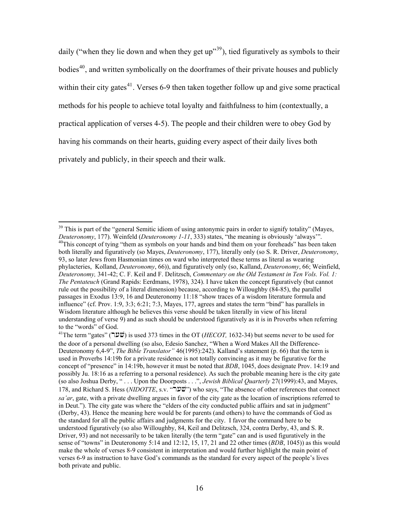daily ("when they lie down and when they get  $up$ "<sup>[39](#page-15-0)</sup>), tied figuratively as symbols to their bodies<sup>[40](#page-15-1)</sup>, and written symbolically on the doorframes of their private houses and publicly within their city gates<sup>[41](#page-15-2)</sup>. Verses 6-9 then taken together follow up and give some practical methods for his people to achieve total loyalty and faithfulness to him (contextually, a practical application of verses 4-5). The people and their children were to obey God by having his commands on their hearts, guiding every aspect of their daily lives both privately and publicly, in their speech and their walk.

<span id="page-15-1"></span><span id="page-15-0"></span><sup>&</sup>lt;sup>39</sup> This is part of the "general Semitic idiom of using antonymic pairs in order to signify totality" (Mayes, *Deuteronomy*, 177). Weinfeld (*Deuteronomy* 1-11, 333) states, "the meaning is obviously 'always'". <sup>40</sup>This concept of tying "them as symbols on your hands and bind them on your foreheads" has been taken both literally and figuratively (so Mayes, *Deuteronomy*, 177), literally only (so S. R. Driver, *Deuteronomy*, 93, so later Jews from Hasmonian times on ward who interpreted these terms as literal as wearing phylacteries, Kolland, *Deuteronomy*, 66)), and figuratively only (so, Kalland, *Deuteronomy*, 66; Weinfield, *Deuteronomy,* 341-42; C. F. Keil and F. Delitzsch, *Commentary on the Old Testament in Ten Vols. Vol. 1: The Pentateuch* (Grand Rapids: Eerdmans, 1978), 324). I have taken the concept figuratively (but cannot rule out the possibility of a literal dimension) because, according to Willoughby (84-85), the parallel passages in Exodus 13:9, 16 and Deuteronomy 11:18 "show traces of a wisdom literature formula and influence" (cf. Prov. 1:9, 3:3; 6:21; 7:3, Mayes, 177, agrees and states the term "bind" has parallels in Wisdom literature although he believes this verse should be taken literally in view of his literal understanding of verse 9) and as such should be understood figuratively as it is in Proverbs when referring to the "words" of God.

<span id="page-15-2"></span> $41$ The term "gates" (שער") is used 373 times in the OT (*HECOT*, 1632-34) but seems never to be used for the door of a personal dwelling (so also, Edesio Sanchez, "When a Word Makes All the Difference-Deuteronomy 6,4-9", *The Bible Translator"* 46(1995):242). Kalland's statement (p. 66) that the term is used in Proverbs 14:19b for a private residence is not totally convincing as it may be figurative for the concept of "presence" in 14:19b, however it must be noted that *BDB*, 1045, does designate Prov. 14:19 and possibly Ju. 18:16 as a referring to a personal residence). As such the probable meaning here is the city gate (so also Joshua Derby, " . . . Upon the Doorposts . . .", *Jewish Biblical Quarterly* 27(1999):43, and Mayes, 178, and Richard S. Hess (*NIDOTTE*, s.v. "" $\dddot{\mathbf{w}}$ ") who says, "The absence of other references that connect *sa'ar*, gate, with a private dwelling argues in favor of the city gate as the location of inscriptions referred to in Deut."). The city gate was where the "elders of the city conducted public affairs and sat in judgment" (Derby, 43). Hence the meaning here would be for parents (and others) to have the commands of God as the standard for all the public affairs and judgments for the city. I favor the command here to be understood figuratively (so also Willoughby, 84, Keil and Delitzsch, 324, contra Derby, 43, and S. R. Driver, 93) and not necessarily to be taken literally (the term "gate" can and is used figuratively in the sense of "towns" in Deuteronomy 5:14 and 12:12, 15, 17, 21 and 22 other times (*BDB*, 1045)) as this would make the whole of verses 8-9 consistent in interpretation and would further highlight the main point of verses 6-9 as instruction to have God's commands as the standard for every aspect of the people's lives both private and public.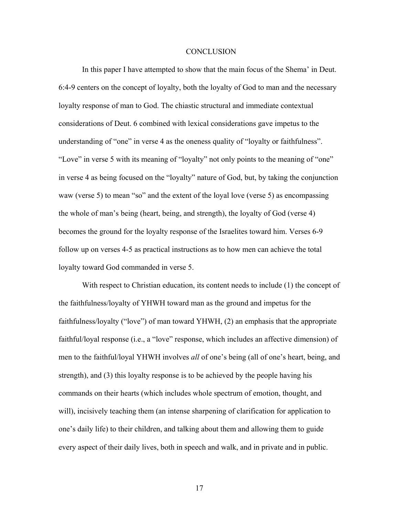#### **CONCLUSION**

In this paper I have attempted to show that the main focus of the Shema' in Deut. 6:4-9 centers on the concept of loyalty, both the loyalty of God to man and the necessary loyalty response of man to God. The chiastic structural and immediate contextual considerations of Deut. 6 combined with lexical considerations gave impetus to the understanding of "one" in verse 4 as the oneness quality of "loyalty or faithfulness". "Love" in verse 5 with its meaning of "loyalty" not only points to the meaning of "one" in verse 4 as being focused on the "loyalty" nature of God, but, by taking the conjunction waw (verse 5) to mean "so" and the extent of the loyal love (verse 5) as encompassing the whole of man's being (heart, being, and strength), the loyalty of God (verse 4) becomes the ground for the loyalty response of the Israelites toward him. Verses 6-9 follow up on verses 4-5 as practical instructions as to how men can achieve the total loyalty toward God commanded in verse 5.

With respect to Christian education, its content needs to include (1) the concept of the faithfulness/loyalty of YHWH toward man as the ground and impetus for the faithfulness/loyalty ("love") of man toward YHWH, (2) an emphasis that the appropriate faithful/loyal response (i.e., a "love" response, which includes an affective dimension) of men to the faithful/loyal YHWH involves *all* of one's being (all of one's heart, being, and strength), and (3) this loyalty response is to be achieved by the people having his commands on their hearts (which includes whole spectrum of emotion, thought, and will), incisively teaching them (an intense sharpening of clarification for application to one's daily life) to their children, and talking about them and allowing them to guide every aspect of their daily lives, both in speech and walk, and in private and in public.

17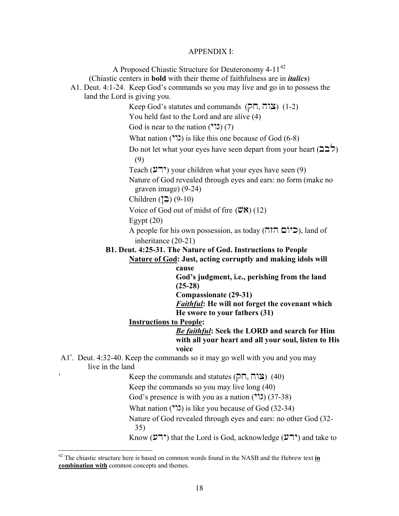#### APPENDIX I:

A Proposed Chiastic Structure for Deuteronomy 4-11<sup>[42](#page-17-0)</sup> (Chiastic centers in **bold** with their theme of faithfulness are in *italics*) A1. Deut. 4:1-24. Keep God's commands so you may live and go in to possess the land the Lord is giving you. Keep God's statutes and commands  $(7\overline{h}, 7\overline{w})$  (1-2) You held fast to the Lord and are alive (4) God is near to the nation  $(2)$ ,  $(7)$ What nation  $($ ,  $\binom{1}{k}$  is like this one because of God (6-8) Do not let what your eyes have seen depart from your heart  $(22)$  (9) Teach (ירע) your children what your eyes have seen (9) Nature of God revealed through eyes and ears: no form (make no graven image) (9-24)  $Children \left( \sum_{i=1}^{n} \right) (9-10)$ Voice of God out of midst of fire  $(\mathbf{W}\mathbf{N})$  (12) Egypt  $(20)$ A people for his own possession, as today (היום ה $\Box$ ), land of inheritance (20-21) **B1. Deut. 4:25-31. The Nature of God. Instructions to People Nature of God: Just, acting corruptly and making idols will cause God's judgment, i.e., perishing from the land (25-28) Compassionate (29-31)** *Faithful***: He will not forget the covenant which He swore to your fathers (31) Instructions to People:**  *Be faithful***: Seek the LORD and search for Him with all your heart and all your soul, listen to His voice** A1'. Deut. 4:32-40. Keep the commands so it may go well with you and you may live in the land Keep the commands and statutes  $(7\overline{1}, 712)$  (40) Keep the commands so you may live long (40) God's presence is with you as a nation  $($ "(1)  $(37-38)$ What nation  $(22)$  is like you because of God (32-34) Nature of God revealed through eyes and ears: no other God (32- 35) Know ( $(2^{\prime\prime})$ ) that the Lord is God, acknowledge ( $(2^{\prime\prime})$ ) and take to

<span id="page-17-0"></span><sup>42</sup> The chiastic structure here is based on common words found in the NASB and the Hebrew text **in combination with** common concepts and themes.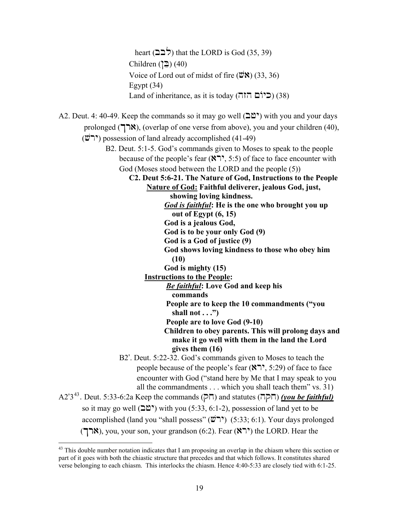heart ( $\overleftrightarrow{225}$ ) that the LORD is God (35, 39) Children ( $\Xi$ ) (40) Voice of Lord out of midst of fire  $(\mathbf{W}\mathbf{N})$  (33, 36) Egypt  $(34)$ Land of inheritance, as it is today (תיום הזה) (38) A2. Deut. 4: 40-49. Keep the commands so it may go well  $(20)$  with you and your days prolonged (ארך), (overlap of one verse from above), you and your children (40),  $(\dddot{\mathbf{w}}^{\bullet})$  possession of land already accomplished (41-49) B2. Deut. 5:1-5. God's commands given to Moses to speak to the people because of the people's fear  $(\aleph \supset \neg 5.5)$  of face to face encounter with God (Moses stood between the LORD and the people (5)) **C2. Deut 5:6-21. The Nature of God, Instructions to the People Nature of God: Faithful deliverer, jealous God, just, showing loving kindness.** *God is faithful***: He is the one who brought you up out of Egypt (6, 15) God is a jealous God, God is to be your only God (9) God is a God of justice (9) God shows loving kindness to those who obey him (10) God is mighty (15) Instructions to the People:** *Be faithful***: Love God and keep his commands People are to keep the 10 commandments ("you shall not . . .") People are to love God (9-10) Children to obey parents. This will prolong days and make it go well with them in the land the Lord gives them (16)** B2'. Deut. 5:22-32. God's commands given to Moses to teach the people because of the people's fear  $(\aleph \supset \, 5:29)$  of face to face encounter with God ("stand here by Me that I may speak to you all the commandments . . . which you shall teach them" vs. 31) A2'3<sup>[43](#page-18-0)</sup>. Deut. 5:33-6:2a Keep the commands (חקה) and statutes (חקה) *(you be faithful)* so it may go well  $(\mathbf{D}^{\mathbf{w}})$  with you (5:33, 6:1-2), possession of land yet to be accomplished (land you "shall possess"  $(\overrightarrow{w})$ " (5:33; 6:1). Your days prolonged (ארך), you, your son, your grandson (6:2). Fear ( $\binom{8}{7}$  the LORD. Hear the 1

<span id="page-18-0"></span><sup>&</sup>lt;sup>43</sup> This double number notation indicates that I am proposing an overlap in the chiasm where this section or part of it goes with both the chiastic structure that precedes and that which follows. It constitutes shared verse belonging to each chiasm. This interlocks the chiasm. Hence 4:40-5:33 are closely tied with 6:1-25.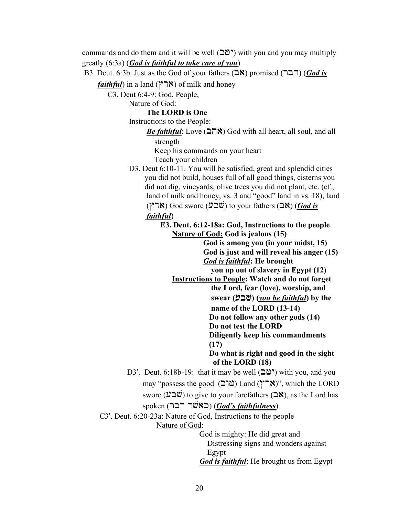commands and do them and it will be well  $(D^{\omega})$  with you and you may multiply greatly (6:3a) (*God is faithful to take care of you*)

B3. Deut. 6:3b. Just as the God of your fathers  $(28)$  promised  $(727)$  (*God is* 

*faithful*) in a land (אר $($ אר $)$ ) of milk and honey

C3. Deut 6:4-9: God, People,

Nature of God:

#### **The LORD is One**

Instructions to the People:

*Be faithful*: Love  $(278)$  God with all heart, all soul, and all strength

 Keep his commands on your heart Teach your children

D3. Deut 6:10-11. You will be satisfied, great and splendid cities you did not build, houses full of all good things, cisterns you did not dig, vineyards, olive trees you did not plant, etc. (cf., land of milk and honey, vs. 3 and "good" land in vs. 18), land  $(\gamma \cap \mathcal{S})$  God swore  $(\mathcal{Y} \cap \mathcal{Y})$  to your fathers  $(\mathcal{S})$  (*God is* 

# *faithful*)

 **E3. Deut. 6:12-18a: God, Instructions to the people Nature of God: God is jealous (15)** 

> **God is among you (in your midst, 15) God is just and will reveal his anger (15)** *God is faithful***: He brought**

 **you up out of slavery in Egypt (12)** 

 **Instructions to People: Watch and do not forget** 

 **the Lord, fear (love), worship, and swear (**[bv**) (***you be faithful***) by the** 

 **name of the LORD (13-14)** 

 **Do not follow any other gods (14) Do not test the LORD** 

**Diligently keep his commandments (17)** 

 **Do what is right and good in the sight of the LORD (18)** 

D3'. Deut. 6:18b-19: that it may be well ( $\Delta\mathfrak{O}$ ) with you, and you  $m$ ay "possess the good ( $\Box$ שוב) Land (אר $\gamma$ ", which the LORD swore ( $\mathcal{V} \supseteq \mathcal{W}$ ) to give to your forefathers ( $\supseteq \mathcal{R}$ ), as the Lord has

### spoken (ראשׁר דבר) (*God's faithfulness*).

 C3'. Deut. 6:20-23a: Nature of God, Instructions to the people Nature of God:

> God is mighty: He did great and Distressing signs and wonders against Egypt *God is faithful*: He brought us from Egypt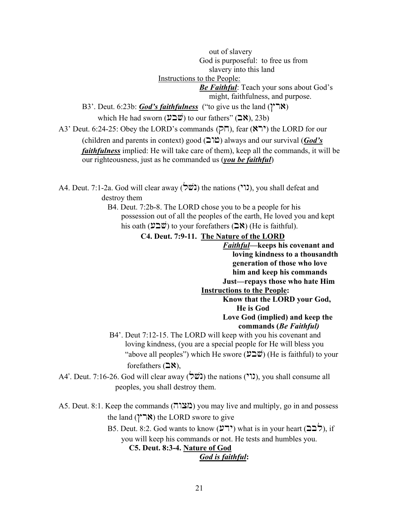out of slavery God is purposeful: to free us from slavery into this land Instructions to the People: *Be Faithful*: Teach your sons about God's might, faithfulness, and purpose. B3'. Deut. 6:23b: *God's faithfulness* ("to give us the land ( $\mathcal{N}$ which He had sworn  $(\mathcal{V} \supseteq \mathcal{W})$  to our fathers" ( $\supseteq \mathcal{N}$ ), 23b) A3' Deut. 6:24-25: Obey the LORD's commands ( $\overline{P}$ ), fear ( $\overline{R}$ ) the LORD for our (children and parents in context) good  $(D^{\text{th}})$  always and our survival (*God's* 

*faithfulness* implied: He will take care of them), keep all the commands, it will be our righteousness, just as he commanded us (*you be faithful*)

A4. Deut. 7:1-2a. God will clear away (בורי) the nations ("ג), you shall defeat and destroy them

> B4. Deut. 7:2b-8. The LORD chose you to be a people for his possession out of all the peoples of the earth, He loved you and kept his oath  $(\mathcal{V} \supseteq \mathcal{W})$  to your forefathers  $(\supseteq \aleph)$  (He is faithful).

> > **C4. Deut. 7:9-11. The Nature of the LORD**

*Faithful***—keeps his covenant and loving kindness to a thousandth generation of those who love him and keep his commands Just—repays those who hate Him Instructions to the People: Know that the LORD your God, He is God** 

# **Love God (implied) and keep the commands (***Be Faithful)*

- B4'. Deut 7:12-15. The LORD will keep with you his covenant and loving kindness, (you are a special people for He will bless you "above all peoples") which He swore  $(\mathcal{V} \supseteq \mathcal{V})$  (He is faithful) to your forefathers  $(28)$ ,
- A4'. Deut. 7:16-26. God will clear away (בשׁל) the nations ("גו"), you shall consume all peoples, you shall destroy them.

A5. Deut. 8:1. Keep the commands (מצוה) you may live and multiply, go in and possess the land ( $\mathcal{N}$  ) the LORD swore to give

> B5. Deut. 8:2. God wants to know (ירע) what is in your heart ( $\sum$ ), if you will keep his commands or not. He tests and humbles you.

**C5. Deut. 8:3-4. Nature of God**

## *God is faithful***:**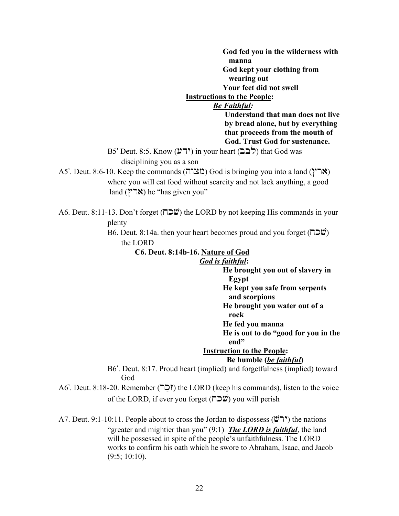**God fed you in the wilderness with manna God kept your clothing from wearing out Your feet did not swell** 

# **Instructions to the People:**

## *Be Faithful:*

**Understand that man does not live by bread alone, but by everything that proceeds from the mouth of God. Trust God for sustenance.** 

 $B5'$  Deut. 8:5. Know (יְרֹע) in your heart ( $\sum$ לב) that God was disciplining you as a son

A5'. Deut. 8:6-10. Keep the commands ( $\pi$ צוה) God is bringing you into a land ( $\gamma$  where you will eat food without scarcity and not lack anything, a good land  $(Y \cap X)$  he "has given you"

A6. Deut. 8:11-13. Don't forget ( $\Box \mathfrak{W}$ ) the LORD by not keeping His commands in your plenty

> B6. Deut. 8:14a. then your heart becomes proud and you forget ( $\Box \Box \ddot{w}$ ) the LORD

## **C6. Deut. 8:14b-16. Nature of God**

## *God is faithful***:**

 **He brought you out of slavery in Egypt He kept you safe from serpents and scorpions** 

 **He brought you water out of a** 

 **rock** 

 **He fed you manna** 

 **He is out to do "good for you in the end"** 

### **Instruction to the People:**

#### **Be humble (***be faithful***)**

 B6'. Deut. 8:17. Proud heart (implied) and forgetfulness (implied) toward God

A6'. Deut. 8:18-20. Remember ( $\Box$ ) the LORD (keep his commands), listen to the voice of the LORD, if ever you forget ( $\Box \mathfrak{W}$ ) you will perish

A7. Deut. 9:1-10:11. People about to cross the Jordan to dispossess ( $\mathbf{w}$ ) the nations "greater and mightier than you" (9:1) *The LORD is faithful*, the land will be possessed in spite of the people's unfaithfulness. The LORD works to confirm his oath which he swore to Abraham, Isaac, and Jacob  $(9:5; 10:10)$ .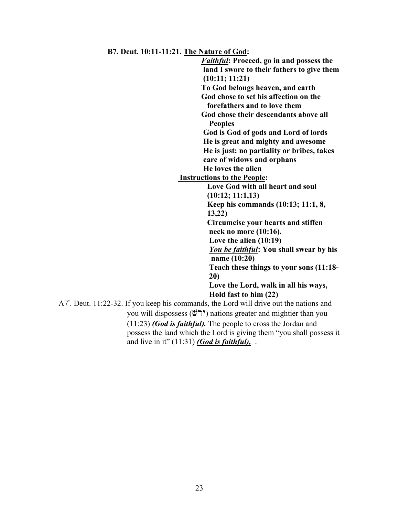**B7. Deut. 10:11-11:21. The Nature of God:** 

*Faithful***: Proceed, go in and possess the land I swore to their fathers to give them (10:11; 11:21) To God belongs heaven, and earth God chose to set his affection on the forefathers and to love them God chose their descendants above all Peoples God is God of gods and Lord of lords He is great and mighty and awesome He is just: no partiality or bribes, takes care of widows and orphans He loves the alien Instructions to the People: Love God with all heart and soul (10:12; 11:1,13) Keep his commands (10:13; 11:1, 8, 13,22) Circumcise your hearts and stiffen neck no more (10:16). Love the alien (10:19)** *You be faithful***: You shall swear by his name (10:20) Teach these things to your sons (11:18- 20) Love the Lord, walk in all his ways, Hold fast to him (22)**  A7'. Deut. 11:22-32. If you keep his commands, the Lord will drive out the nations and you will dispossess ( $\ddot{\psi}$ יר $\ddot{\psi}$ ) nations greater and mightier than you (11:23) *(God is faithful).* The people to cross the Jordan and possess the land which the Lord is giving them "you shall possess it and live in it" (11:31) *(God is faithful),* .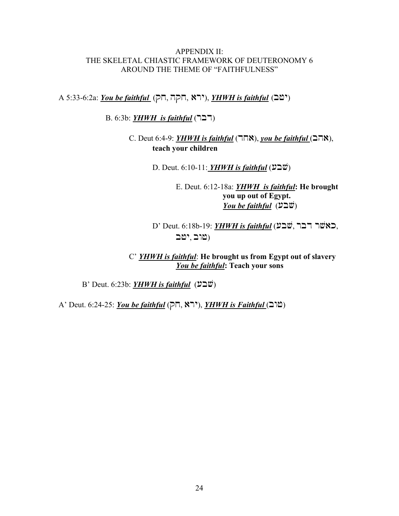## APPENDIX II: THE SKELETAL CHIASTIC FRAMEWORK OF DEUTERONOMY 6 AROUND THE THEME OF "FAITHFULNESS"

A 5:33-6:2a: *You be faithful* (רא, הקה, אית), *YHWH is faithful* (<sup>ס</sup>בי)

B. 6:3b: *YHWH is faithful* (727)

C. Deut 6:4-9: *YHWH is faithful* (האה), *you be faithful* (האה **teach your children** 

D. Deut. 6:10-11: *YHWH is faithful* (עבע)

E. Deut. 6:12-18a: *YHWH is faithful***: He brought you up out of Egypt.** *You be faithful*  $(\Sigma \square \ddot{\mathcal{C}})$ 

D' Deut. 6:18b-19: *YHWH is faithful* (באשר רבר, שוב, ישב $\rho$ 

C' *YHWH is faithful*: **He brought us from Egypt out of slavery**  *You be faithful***: Teach your sons** 

B' Deut. 6:23b: *YHWH is faithful* (שבע)

A' Deut. 6:24-25: *You be faithful* (רא, A), *YHWH is Faithful* ( $\Box$ ם)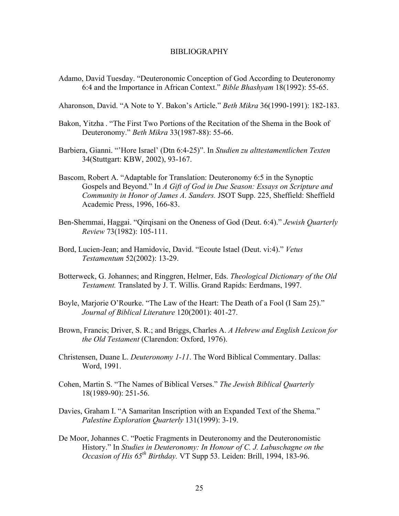#### BIBLIOGRAPHY

Adamo, David Tuesday. "Deuteronomic Conception of God According to Deuteronomy 6:4 and the Importance in African Context." *Bible Bhashyam* 18(1992): 55-65.

Aharonson, David. "A Note to Y. Bakon's Article." *Beth Mikra* 36(1990-1991): 182-183.

- Bakon, Yitzha . "The First Two Portions of the Recitation of the Shema in the Book of Deuteronomy." *Beth Mikra* 33(1987-88): 55-66.
- Barbiera, Gianni. "'Hore Israel' (Dtn 6:4-25)". In *Studien zu alttestamentlichen Texten* 34(Stuttgart: KBW, 2002), 93-167.
- Bascom, Robert A. "Adaptable for Translation: Deuteronomy 6:5 in the Synoptic Gospels and Beyond." In *A Gift of God in Due Season: Essays on Scripture and Community in Honor of James A. Sanders.* JSOT Supp. 225, Sheffield: Sheffield Academic Press, 1996, 166-83.
- Ben-Shemmai, Haggai. "Qirqisani on the Oneness of God (Deut. 6:4)." *Jewish Quarterly Review* 73(1982): 105-111.
- Bord, Lucien-Jean; and Hamidovic, David. "Ecoute Istael (Deut. vi:4)." *Vetus Testamentum* 52(2002): 13-29.
- Botterweck, G. Johannes; and Ringgren, Helmer, Eds. *Theological Dictionary of the Old Testament.* Translated by J. T. Willis. Grand Rapids: Eerdmans, 1997.
- Boyle, Marjorie O'Rourke. "The Law of the Heart: The Death of a Fool (I Sam 25)." *Journal of Biblical Literature* 120(2001): 401-27.
- Brown, Francis; Driver, S. R.; and Briggs, Charles A. *A Hebrew and English Lexicon for the Old Testament* (Clarendon: Oxford, 1976).
- Christensen, Duane L. *Deuteronomy 1-11*. The Word Biblical Commentary. Dallas: Word, 1991.
- Cohen, Martin S. "The Names of Biblical Verses." *The Jewish Biblical Quarterly* 18(1989-90): 251-56.
- Davies, Graham I. "A Samaritan Inscription with an Expanded Text of the Shema." *Palestine Exploration Quarterly* 131(1999): 3-19.
- De Moor, Johannes C. "Poetic Fragments in Deuteronomy and the Deuteronomistic History." In *Studies in Deuteronomy: In Honour of C. J. Labuschagne on the Occasion of His 65th Birthday.* VT Supp 53. Leiden: Brill, 1994, 183-96.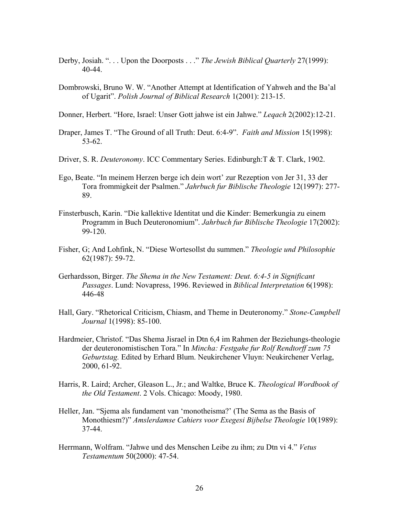- Derby, Josiah. ". . . Upon the Doorposts . . ." *The Jewish Biblical Quarterly* 27(1999): 40-44.
- Dombrowski, Bruno W. W. "Another Attempt at Identification of Yahweh and the Ba'al of Ugarit". *Polish Journal of Biblical Research* 1(2001): 213-15.
- Donner, Herbert. "Hore, Israel: Unser Gott jahwe ist ein Jahwe." *Leqach* 2(2002):12-21.
- Draper, James T. "The Ground of all Truth: Deut. 6:4-9". *Faith and Mission* 15(1998): 53-62.
- Driver, S. R. *Deuteronomy*. ICC Commentary Series. Edinburgh:T & T. Clark, 1902.
- Ego, Beate. "In meinem Herzen berge ich dein wort' zur Rezeption von Jer 31, 33 der Tora frommigkeit der Psalmen." *Jahrbuch fur Biblische Theologie* 12(1997): 277- 89.
- Finsterbusch, Karin. "Die kallektive Identitat und die Kinder: Bemerkungia zu einem Programm in Buch Deuteronomium". *Jahrbuch fur Biblische Theologie* 17(2002): 99-120.
- Fisher, G; And Lohfink, N. "Diese Wortesollst du summen." *Theologie und Philosophie* 62(1987): 59-72.
- Gerhardsson, Birger. *The Shema in the New Testament: Deut. 6:4-5 in Significant Passages*. Lund: Novapress, 1996. Reviewed in *Biblical Interpretation* 6(1998): 446-48
- Hall, Gary. "Rhetorical Criticism, Chiasm, and Theme in Deuteronomy." *Stone-Campbell Journal* 1(1998): 85-100.
- Hardmeier, Christof. "Das Shema Jisrael in Dtn 6,4 im Rahmen der Beziehungs-theologie der deuteronomistischen Tora." In *Mincha: Festgahe fur Rolf Rendtorff zum 75 Geburtstag.* Edited by Erhard Blum. Neukirchener Vluyn: Neukirchener Verlag, 2000, 61-92.
- Harris, R. Laird; Archer, Gleason L., Jr.; and Waltke, Bruce K. *Theological Wordbook of the Old Testament*. 2 Vols. Chicago: Moody, 1980.
- Heller, Jan. "Sjema als fundament van 'monotheisma?' (The Sema as the Basis of Monothiesm?)" *Amslerdamse Cahiers voor Exegesi Bijbelse Theologie* 10(1989): 37-44.
- Herrmann, Wolfram. "Jahwe und des Menschen Leibe zu ihm; zu Dtn vi 4." *Vetus Testamentum* 50(2000): 47-54.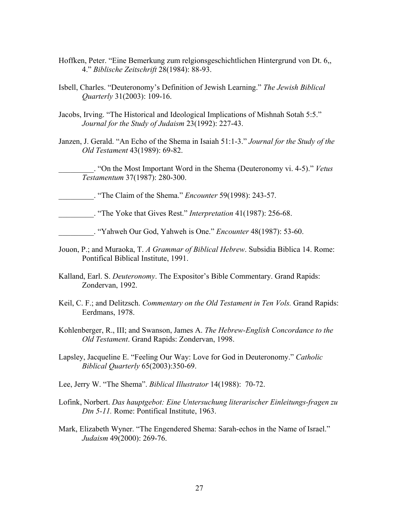- Hoffken, Peter. "Eine Bemerkung zum relgionsgeschichtlichen Hintergrund von Dt. 6,, 4." *Biblische Zeitschrift* 28(1984): 88-93.
- Isbell, Charles. "Deuteronomy's Definition of Jewish Learning." *The Jewish Biblical Quarterly* 31(2003): 109-16.
- Jacobs, Irving. "The Historical and Ideological Implications of Mishnah Sotah 5:5." *Journal for the Study of Judaism* 23(1992): 227-43.
- Janzen, J. Gerald. "An Echo of the Shema in Isaiah 51:1-3." *Journal for the Study of the Old Testament* 43(1989): 69-82.

\_\_\_\_\_\_\_\_\_. "On the Most Important Word in the Shema (Deuteronomy vi. 4-5)." *Vetus Testamentum* 37(1987): 280-300.

\_\_\_\_\_\_\_\_\_. "The Claim of the Shema." *Encounter* 59(1998): 243-57.

\_\_\_\_\_\_\_\_\_. "The Yoke that Gives Rest." *Interpretation* 41(1987): 256-68.

- \_\_\_\_\_\_\_\_\_. "Yahweh Our God, Yahweh is One." *Encounter* 48(1987): 53-60.
- Jouon, P.; and Muraoka, T. *A Grammar of Biblical Hebrew*. Subsidia Biblica 14. Rome: Pontifical Biblical Institute, 1991.
- Kalland, Earl. S. *Deuteronomy*. The Expositor's Bible Commentary. Grand Rapids: Zondervan, 1992.
- Keil, C. F.; and Delitzsch. *Commentary on the Old Testament in Ten Vols.* Grand Rapids: Eerdmans, 1978.
- Kohlenberger, R., III; and Swanson, James A. *The Hebrew-English Concordance to the Old Testament*. Grand Rapids: Zondervan, 1998.
- Lapsley, Jacqueline E. "Feeling Our Way: Love for God in Deuteronomy." *Catholic Biblical Quarterly* 65(2003):350-69.
- Lee, Jerry W. "The Shema". *Biblical Illustrator* 14(1988): 70-72.
- Lofink, Norbert. *Das hauptgebot: Eine Untersuchung literarischer Einleitungs-fragen zu Dtn 5-11.* Rome: Pontifical Institute, 1963.
- Mark, Elizabeth Wyner. "The Engendered Shema: Sarah-echos in the Name of Israel." *Judaism* 49(2000): 269-76.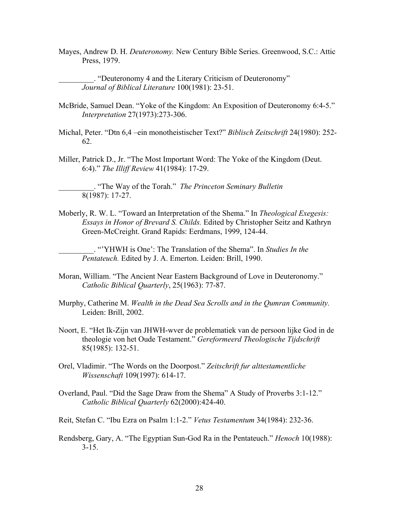Mayes, Andrew D. H. *Deuteronomy.* New Century Bible Series. Greenwood, S.C.: Attic Press, 1979.

\_\_\_\_\_\_\_\_\_. "Deuteronomy 4 and the Literary Criticism of Deuteronomy" *Journal of Biblical Literature* 100(1981): 23-51.

- McBride, Samuel Dean. "Yoke of the Kingdom: An Exposition of Deuteronomy 6:4-5." *Interpretation* 27(1973):273-306.
- Michal, Peter. "Dtn 6,4 –ein monotheistischer Text?" *Biblisch Zeitschrift* 24(1980): 252- 62.
- Miller, Patrick D., Jr. "The Most Important Word: The Yoke of the Kingdom (Deut. 6:4)." *The Illiff Review* 41(1984): 17-29.

\_\_\_\_\_\_\_\_\_. "The Way of the Torah." *The Princeton Seminary Bulletin*  8(1987): 17-27.

Moberly, R. W. L. "Toward an Interpretation of the Shema." In *Theological Exegesis: Essays in Honor of Brevard S. Childs.* Edited by Christopher Seitz and Kathryn Green-McCreight. Grand Rapids: Eerdmans, 1999, 124-44.

\_\_\_\_\_\_\_\_\_. "'YHWH is One': The Translation of the Shema". In *Studies In the Pentateuch.* Edited by J. A. Emerton. Leiden: Brill, 1990.

- Moran, William. "The Ancient Near Eastern Background of Love in Deuteronomy." *Catholic Biblical Quarterly*, 25(1963): 77-87.
- Murphy, Catherine M. *Wealth in the Dead Sea Scrolls and in the Qumran Community.* Leiden: Brill, 2002.
- Noort, E. "Het Ik-Zijn van JHWH-wver de problematiek van de persoon lijke God in de theologie von het Oude Testament." *Gereformeerd Theologische Tijdschrift* 85(1985): 132-51.
- Orel, Vladimir. "The Words on the Doorpost." *Zeitschrift fur alttestamentliche Wissenschaft* 109(1997): 614-17.
- Overland, Paul. "Did the Sage Draw from the Shema" A Study of Proverbs 3:1-12." *Catholic Biblical Quarterly* 62(2000):424-40.

Reit, Stefan C. "Ibu Ezra on Psalm 1:1-2." *Vetus Testamentum* 34(1984): 232-36.

Rendsberg, Gary, A. "The Egyptian Sun-God Ra in the Pentateuch." *Henoch* 10(1988):  $3 - 15$ .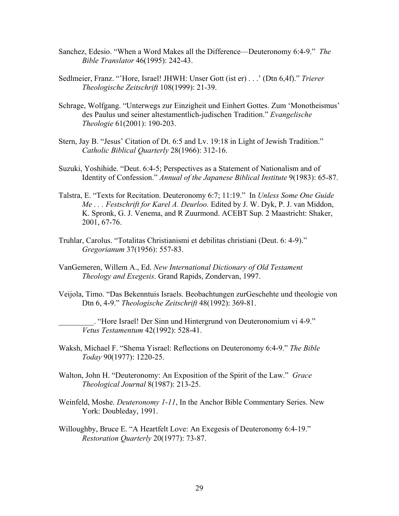- Sanchez, Edesio. "When a Word Makes all the Difference—Deuteronomy 6:4-9." *The Bible Translator* 46(1995): 242-43.
- Sedlmeier, Franz. "'Hore, Israel! JHWH: Unser Gott (ist er) . . .' (Dtn 6,4f)." *Trierer Theologische Zeitschrift* 108(1999): 21-39.
- Schrage, Wolfgang. "Unterwegs zur Einzigheit und Einhert Gottes. Zum 'Monotheismus' des Paulus und seiner altestamentlich-judischen Tradition." *Evangelische Theologie* 61(2001): 190-203.
- Stern, Jay B. "Jesus' Citation of Dt. 6:5 and Lv. 19:18 in Light of Jewish Tradition." *Catholic Biblical Quarterly* 28(1966): 312-16.
- Suzuki, Yoshihide. "Deut. 6:4-5; Perspectives as a Statement of Nationalism and of Identity of Confession." *Annual of the Japanese Biblical Institute* 9(1983): 65-87.
- Talstra, E. "Texts for Recitation. Deuteronomy 6:7; 11:19." In *Unless Some One Guide Me . . . Festschrift for Karel A. Deurloo.* Edited by J. W. Dyk, P. J. van Middon, K. Spronk, G. J. Venema, and R Zuurmond. ACEBT Sup. 2 Maastricht: Shaker, 2001, 67-76.
- Truhlar, Carolus. "Totalitas Christianismi et debilitas christiani (Deut. 6: 4-9)." *Gregorianum* 37(1956): 557-83.
- VanGemeren, Willem A., Ed. *New International Dictionary of Old Testament Theology and Exegesis*. Grand Rapids, Zondervan, 1997.
- Veijola, Timo. "Das Bekenntuis Israels. Beobachtungen zurGeschehte und theologie von Dtn 6, 4-9." *Theologische Zeitschrift* 48(1992): 369-81.

\_\_\_\_\_\_\_\_\_. "Hore Israel! Der Sinn und Hintergrund von Deuteronomium vi 4-9." *Vetus Testamentum* 42(1992): 528-41.

- Waksh, Michael F. "Shema Yisrael: Reflections on Deuteronomy 6:4-9." *The Bible Today* 90(1977): 1220-25.
- Walton, John H. "Deuteronomy: An Exposition of the Spirit of the Law." *Grace Theological Journal* 8(1987): 213-25.
- Weinfeld, Moshe. *Deuteronomy 1-11*, In the Anchor Bible Commentary Series. New York: Doubleday, 1991.
- Willoughby, Bruce E. "A Heartfelt Love: An Exegesis of Deuteronomy 6:4-19." *Restoration Quarterly* 20(1977): 73-87.